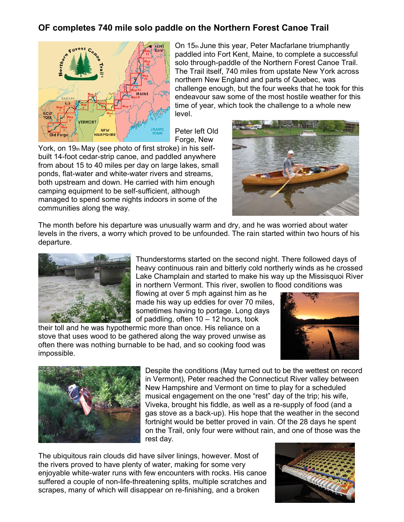## **OF completes 740 mile solo paddle on the Northern Forest Canoe Trail**



On  $15<sub>th</sub>$  June this year, Peter Macfarlane triumphantly paddled into Fort Kent, Maine, to complete a successful solo through-paddle of the Northern Forest Canoe Trail. The Trail itself, 740 miles from upstate New York across northern New England and parts of Quebec, was challenge enough, but the four weeks that he took for this endeavour saw some of the most hostile weather for this time of year, which took the challenge to a whole new level.

Peter left Old Forge, New

York, on 19th May (see photo of first stroke) in his selfbuilt 14-foot cedar-strip canoe, and paddled anywhere from about 15 to 40 miles per day on large lakes, small ponds, flat-water and white-water rivers and streams, both upstream and down. He carried with him enough camping equipment to be self-sufficient, although managed to spend some nights indoors in some of the communities along the way.



The month before his departure was unusually warm and dry, and he was worried about water levels in the rivers, a worry which proved to be unfounded. The rain started within two hours of his departure.



Thunderstorms started on the second night. There followed days of heavy continuous rain and bitterly cold northerly winds as he crossed Lake Champlain and started to make his way up the Missisquoi River in northern Vermont. This river, swollen to flood conditions was

flowing at over 5 mph against him as he made his way up eddies for over 70 miles, sometimes having to portage. Long days of paddling, often 10 – 12 hours, took

their toll and he was hypothermic more than once. His reliance on a stove that uses wood to be gathered along the way proved unwise as often there was nothing burnable to be had, and so cooking food was impossible.





Despite the conditions (May turned out to be the wettest on record in Vermont), Peter reached the Connecticut River valley between New Hampshire and Vermont on time to play for a scheduled musical engagement on the one "rest" day of the trip; his wife, Viveka, brought his fiddle, as well as a re-supply of food (and a gas stove as a back-up). His hope that the weather in the second fortnight would be better proved in vain. Of the 28 days he spent on the Trail, only four were without rain, and one of those was the rest day.

The ubiquitous rain clouds did have silver linings, however. Most of the rivers proved to have plenty of water, making for some very enjoyable white-water runs with few encounters with rocks. His canoe suffered a couple of non-life-threatening splits, multiple scratches and scrapes, many of which will disappear on re-finishing, and a broken

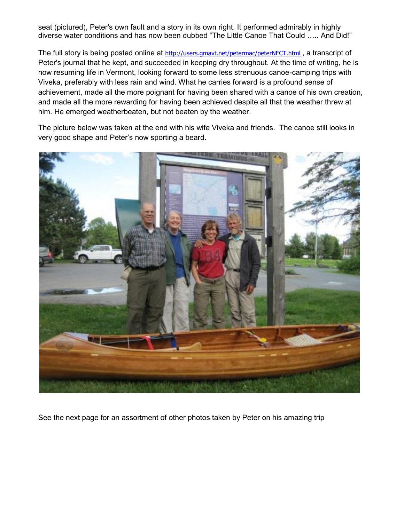seat (pictured), Peter's own fault and a story in its own right. It performed admirably in highly diverse water conditions and has now been dubbed "The Little Canoe That Could ….. And Did!"

The full story is being posted online at http://users.gmavt.net/petermac/peterNFCT.html, a transcript of Peter's journal that he kept, and succeeded in keeping dry throughout. At the time of writing, he is now resuming life in Vermont, looking forward to some less strenuous canoe-camping trips with Viveka, preferably with less rain and wind. What he carries forward is a profound sense of achievement, made all the more poignant for having been shared with a canoe of his own creation, and made all the more rewarding for having been achieved despite all that the weather threw at him. He emerged weatherbeaten, but not beaten by the weather.

The picture below was taken at the end with his wife Viveka and friends. The canoe still looks in very good shape and Peter's now sporting a beard.



See the next page for an assortment of other photos taken by Peter on his amazing trip